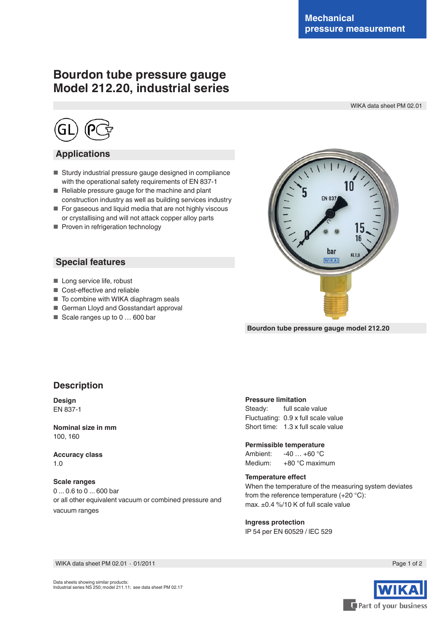# **Bourdon tube pressure gauge Model 212.20, industrial series**

WIKA data sheet PM 02.01



### **Applications**

- Sturdy industrial pressure gauge designed in compliance with the operational safety requirements of EN 837-1
- Reliable pressure gauge for the machine and plant construction industry as well as building services industry
- For gaseous and liquid media that are not highly viscous or crystallising and will not attack copper alloy parts
- Proven in refrigeration technology

#### **Special features**

- Long service life, robust
- Cost-effective and reliable
- To combine with WIKA diaphragm seals
- German Lloyd and Gosstandart approval
- Scale ranges up to 0 ... 600 bar



**Bourdon tube pressure gauge model 212.20**

### **Description**

**Design** EN 837-1

**Nominal size in mm** 100, 160

**Accuracy class** 1.0

**Scale ranges** 0 ... 0.6 to 0 ... 600 bar or all other equivalent vacuum or combined pressure and vacuum ranges

#### **Pressure limitation**

Steady: full scale value Fluctuating: 0.9 x full scale value Short time: 1.3 x full scale value

**Permissible temperature**

Ambient: -40 … +60 °C Medium: +80 °C maximum

#### **Temperature efect**

When the temperature of the measuring system deviates from the reference temperature (+20 °C): max. ±0.4 %/10 K of full scale value

**Ingress protection** IP 54 per EN 60529 / lEC 529

WIKA data sheet PM 02.01 ∙ 01/2011



Page 1 of 2

Data sheets showing similar products: Industrial series NS 250; model 211.11; see data sheet PM 02.17